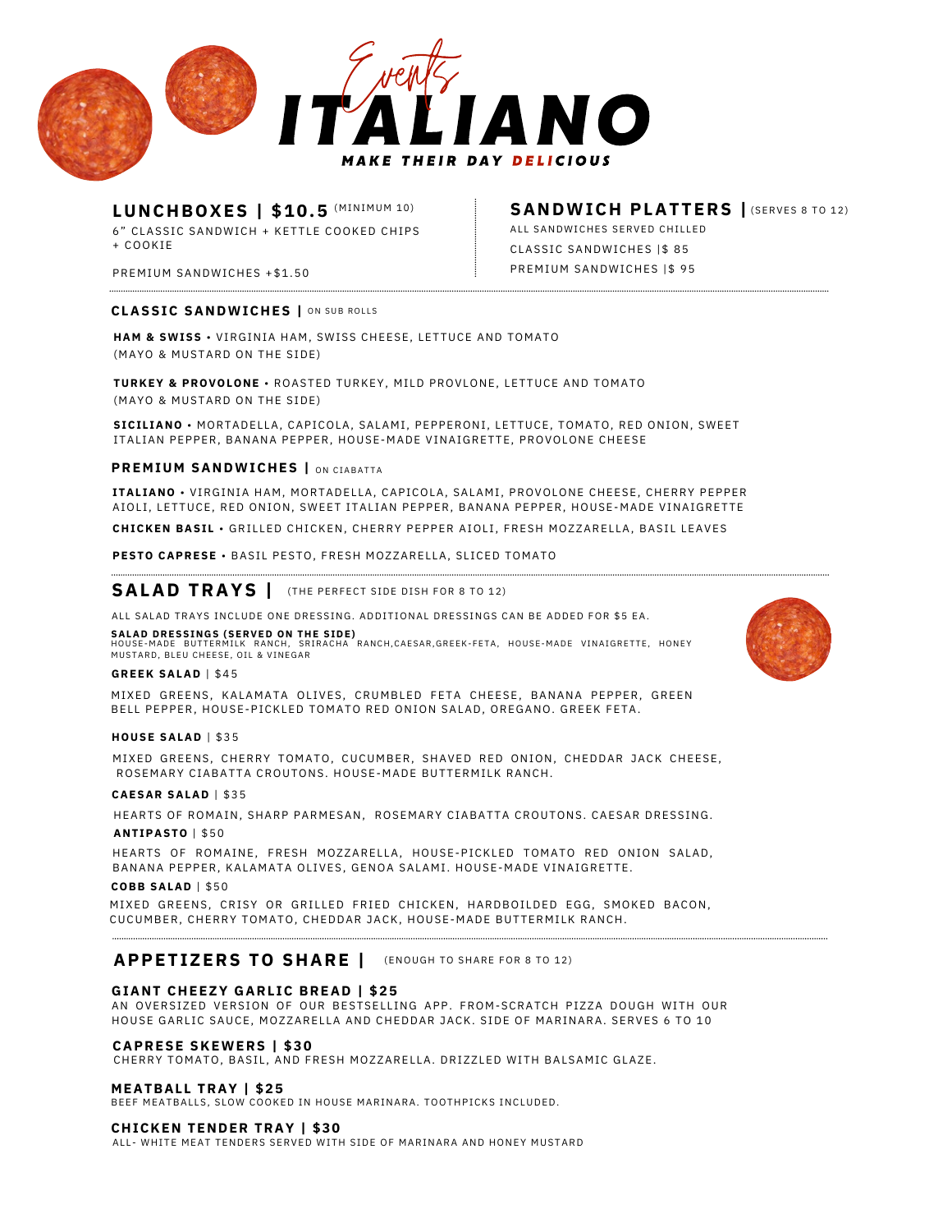

# LUNCHBOXES | \$10.5 (MINIMUM 10)

6" CLASSIC SANDWICH + KETTLE COOKED CHIPS + C O O K I E

PREMIUM SANDWICHES +\$1.50

### CLASSIC SANDWICHES | ON SUB ROLLS

HAM & SWISS · VIRGINIA HAM, SWISS CHEESE, LETTUCE AND TOMATO (MAYO & MUSTARD ON THE SIDE)

**TURKEY & PROVOLONE · ROASTED TURKEY, MILD PROVLONE, LETTUCE AND TOMATO** (MAYO & MUSTARD ON THE SIDE)

SICILIANO · MORTADELLA, CAPICOLA, SALAMI, PEPPERONI, LETTUCE, TOMATO, RED ONION, SWEET ITALIAN PEPPER, BANANA PEPPER, HOUSE-MADE VINAIGRETTE, PROVOLONE CHEESE

#### **PREMIUM SANDWICHES |** ON CIABATTA

ITALIANO · VIRGINIA HAM, MORTADELLA, CAPICOLA, SALAMI, PROVOLONE CHEESE, CHERRY PEPPER AIOLI, LETTUCE, RED ONION, SWEET ITALIAN PEPPER, BANANA PEPPER, HOUSE-MADE VINAIGRETTE

**CHICKEN BASIL ·** GRILLED CHICKEN, CHERRY PEPPER AIOLI, FRESH MOZZARELLA, BASIL LEAVES

#### PESTO CAPRESE · BASIL PESTO, FRESH MOZZARELLA, SLICED TOMATO

## **SALAD TRAYS** | (THE PERFECT SIDE DISH FOR 8 TO 12)

ALL SALAD TRAYS INCLUDE ONE DRESSING. ADDITIONAL DRESSINGS CAN BE ADDED FOR \$5 EA.

#### **SALAD DRESSINGS (SERVED ON THE SIDE)**

HOUSE–MADE BUTTERMILK RANCH, SRIRACHA RANCH,CAESAR,GREEK–FETA, HOUSE–MADE VINAIGRETTE, HONEY<br>MUSTARD,BLEUCHEESE,OIL&VINEGAR

### **G R E E K S A L A D** | \$ 4 5

MIXED GREENS, KALAMATA OLIVES, CRUMBLED FETA CHEESE, BANANA PEPPER, GREEN BELL PEPPER, HOUSE-PICKLED TOMATO RED ONION SALAD, OREGANO. GREEK FETA.

#### **H O U S E S A L A D** | \$ 3 5

MIXED GREENS, CHERRY TOMATO, CUCUMBER, SHAVED RED ONION, CHEDDAR JACK CHEESE, ROSEMARY CIABATTA CROUTONS. HOUSE-MADE BUTTERMILK RANCH.

#### **C A E S A R S A L A D** | \$ 3 5

HEARTS OF ROMAIN, SHARP PARMESAN, ROSEMARY CIABATTA CROUTONS. CAESAR DRESSING.

#### **A N T I P A S T O** | \$ 5 0

HEARTS OF ROMAINE, FRESH MOZZARELLA, HOUSE-PICKLED TOMATO RED ONION SALAD, BANANA PEPPER, KALAMATA OLIVES, GENOA SALAMI. HOUSE-MADE VINAIGRETTE.

#### **C O B B S A L A D** | \$ 5 0

MIXED GREENS, CRISY OR GRILLED FRIED CHICKEN, HARDBOILDED EGG, SMOKED BACON, CUCUMBER, CHERRY TOMATO, CHEDDAR JACK, HOUSE-MADE BUTTERMILK RANCH.

## **APPETIZERS TO SHARE** | (ENOUGH TO SHARE FOR 8 TO 12)

#### GIANT CHEEZY GARLIC BREAD | \$25

AN OVERSIZED VERSION OF OUR BESTSELLING APP. FROM-SCRATCH PIZZA DOUGH WITH OUR HOUSE GARLIC SAUCE, MOZZARELLA AND CHEDDAR JACK. SIDE OF MARINARA. SERVES 6 TO 10

#### **C A P R E S E S K E W E R S | \$ 3 0**

CHERRY TOMATO, BASIL, AND FRESH MOZZARELLA. DRIZZLED WITH BALSAMIC GLAZE.

#### **M E A T B A L L T R A Y | \$ 2 5**

BEEF MEATBALLS, SLOW COOKED IN HOUSE MARINARA. TOOTHPICKS INCLUDED.

#### **CHICKEN TENDER TRAY | \$30**

ALL- WHITE MEAT TENDERS SERVED WITH SIDE OF MARINARA AND HONEY MUSTARD



## SANDWICH PLATTERS | (SERVES 8 TO 12)

CLASSIC SANDWICHES | \$85 PREMIUM SANDWICHES | \$ 95 ALL SANDWICHES SERVED CHILLED